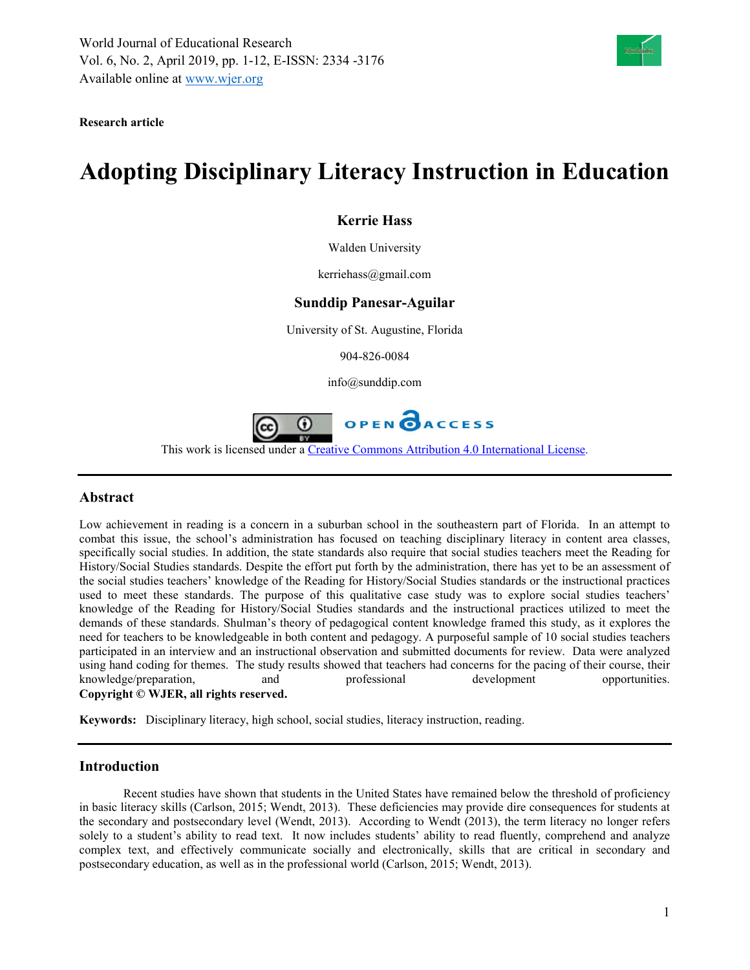World Journal of Educational Research Vol. 6, No. 2, April 2019, pp. 1-12, E-ISSN: 2334 -3176 Available online at www.wjer.org

**Research article**

# **Adopting Disciplinary Literacy Instruction in Education**

# **Kerrie Hass**

Walden University

kerriehass@gmail.com

# **Sunddip Panesar-Aguilar**

University of St. Augustine, Florida

904-826-0084

info@sunddip.com



This work is licensed under a [Creative Commons Attribution 4.0 International License.](http://creativecommons.org/licenses/by/4.0/)

# **Abstract**

Low achievement in reading is a concern in a suburban school in the southeastern part of Florida. In an attempt to combat this issue, the school's administration has focused on teaching disciplinary literacy in content area classes, specifically social studies. In addition, the state standards also require that social studies teachers meet the Reading for History/Social Studies standards. Despite the effort put forth by the administration, there has yet to be an assessment of the social studies teachers' knowledge of the Reading for History/Social Studies standards or the instructional practices used to meet these standards. The purpose of this qualitative case study was to explore social studies teachers' knowledge of the Reading for History/Social Studies standards and the instructional practices utilized to meet the demands of these standards. Shulman's theory of pedagogical content knowledge framed this study, as it explores the need for teachers to be knowledgeable in both content and pedagogy. A purposeful sample of 10 social studies teachers participated in an interview and an instructional observation and submitted documents for review. Data were analyzed using hand coding for themes. The study results showed that teachers had concerns for the pacing of their course, their knowledge/preparation, and professional development opportunities. **Copyright © WJER, all rights reserved.**

**Keywords:** Disciplinary literacy, high school, social studies, literacy instruction, reading.

# **Introduction**

Recent studies have shown that students in the United States have remained below the threshold of proficiency in basic literacy skills (Carlson, 2015; Wendt, 2013). These deficiencies may provide dire consequences for students at the secondary and postsecondary level (Wendt, 2013). According to Wendt (2013), the term literacy no longer refers solely to a student's ability to read text. It now includes students' ability to read fluently, comprehend and analyze complex text, and effectively communicate socially and electronically, skills that are critical in secondary and postsecondary education, as well as in the professional world (Carlson, 2015; Wendt, 2013).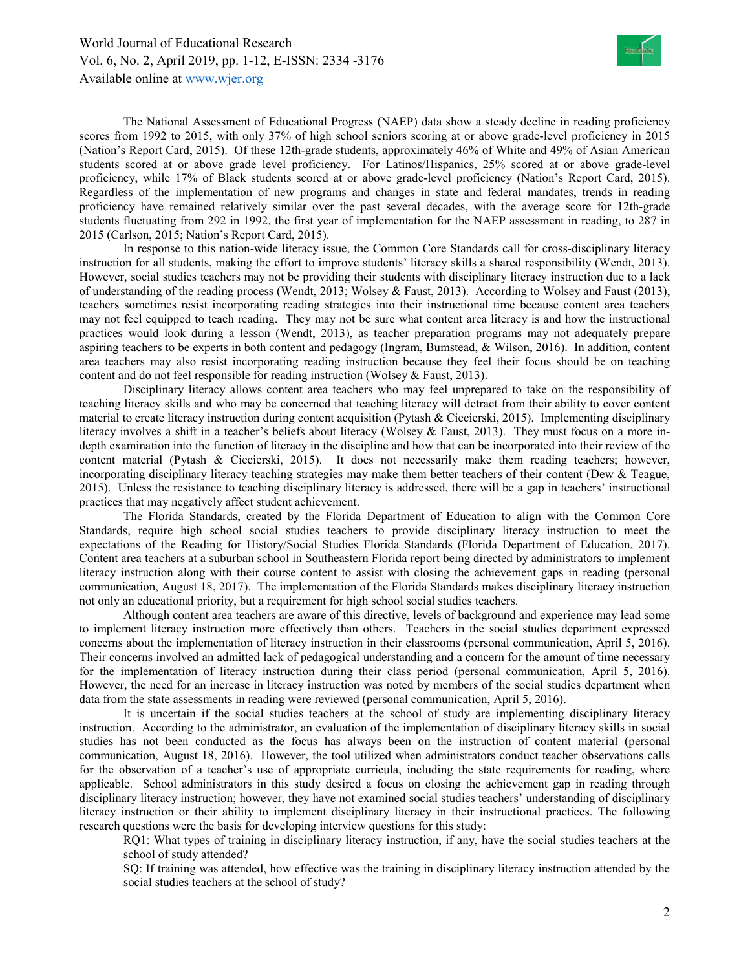World Journal of Educational Research Vol. 6, No. 2, April 2019, pp. 1-12, E-ISSN: 2334 -3176 Available online at www.wjer.org



The National Assessment of Educational Progress (NAEP) data show a steady decline in reading proficiency scores from 1992 to 2015, with only 37% of high school seniors scoring at or above grade-level proficiency in 2015 (Nation's Report Card, 2015). Of these 12th-grade students, approximately 46% of White and 49% of Asian American students scored at or above grade level proficiency. For Latinos/Hispanics, 25% scored at or above grade-level proficiency, while 17% of Black students scored at or above grade-level proficiency (Nation's Report Card, 2015). Regardless of the implementation of new programs and changes in state and federal mandates, trends in reading proficiency have remained relatively similar over the past several decades, with the average score for 12th-grade students fluctuating from 292 in 1992, the first year of implementation for the NAEP assessment in reading, to 287 in 2015 (Carlson, 2015; Nation's Report Card, 2015).

In response to this nation-wide literacy issue, the Common Core Standards call for cross-disciplinary literacy instruction for all students, making the effort to improve students' literacy skills a shared responsibility (Wendt, 2013). However, social studies teachers may not be providing their students with disciplinary literacy instruction due to a lack of understanding of the reading process (Wendt, 2013; Wolsey & Faust, 2013). According to Wolsey and Faust (2013), teachers sometimes resist incorporating reading strategies into their instructional time because content area teachers may not feel equipped to teach reading. They may not be sure what content area literacy is and how the instructional practices would look during a lesson (Wendt, 2013), as teacher preparation programs may not adequately prepare aspiring teachers to be experts in both content and pedagogy (Ingram, Bumstead, & Wilson, 2016). In addition, content area teachers may also resist incorporating reading instruction because they feel their focus should be on teaching content and do not feel responsible for reading instruction (Wolsey  $\&$  Faust, 2013).

Disciplinary literacy allows content area teachers who may feel unprepared to take on the responsibility of teaching literacy skills and who may be concerned that teaching literacy will detract from their ability to cover content material to create literacy instruction during content acquisition (Pytash & Ciecierski, 2015). Implementing disciplinary literacy involves a shift in a teacher's beliefs about literacy (Wolsey & Faust, 2013). They must focus on a more indepth examination into the function of literacy in the discipline and how that can be incorporated into their review of the content material (Pytash & Ciecierski, 2015). It does not necessarily make them reading teachers; however, incorporating disciplinary literacy teaching strategies may make them better teachers of their content (Dew & Teague, 2015). Unless the resistance to teaching disciplinary literacy is addressed, there will be a gap in teachers' instructional practices that may negatively affect student achievement.

The Florida Standards, created by the Florida Department of Education to align with the Common Core Standards, require high school social studies teachers to provide disciplinary literacy instruction to meet the expectations of the Reading for History/Social Studies Florida Standards (Florida Department of Education, 2017). Content area teachers at a suburban school in Southeastern Florida report being directed by administrators to implement literacy instruction along with their course content to assist with closing the achievement gaps in reading (personal communication, August 18, 2017). The implementation of the Florida Standards makes disciplinary literacy instruction not only an educational priority, but a requirement for high school social studies teachers.

Although content area teachers are aware of this directive, levels of background and experience may lead some to implement literacy instruction more effectively than others. Teachers in the social studies department expressed concerns about the implementation of literacy instruction in their classrooms (personal communication, April 5, 2016). Their concerns involved an admitted lack of pedagogical understanding and a concern for the amount of time necessary for the implementation of literacy instruction during their class period (personal communication, April 5, 2016). However, the need for an increase in literacy instruction was noted by members of the social studies department when data from the state assessments in reading were reviewed (personal communication, April 5, 2016).

It is uncertain if the social studies teachers at the school of study are implementing disciplinary literacy instruction. According to the administrator, an evaluation of the implementation of disciplinary literacy skills in social studies has not been conducted as the focus has always been on the instruction of content material (personal communication, August 18, 2016). However, the tool utilized when administrators conduct teacher observations calls for the observation of a teacher's use of appropriate curricula, including the state requirements for reading, where applicable. School administrators in this study desired a focus on closing the achievement gap in reading through disciplinary literacy instruction; however, they have not examined social studies teachers' understanding of disciplinary literacy instruction or their ability to implement disciplinary literacy in their instructional practices. The following research questions were the basis for developing interview questions for this study:

RQ1: What types of training in disciplinary literacy instruction, if any, have the social studies teachers at the school of study attended?

SQ: If training was attended, how effective was the training in disciplinary literacy instruction attended by the social studies teachers at the school of study?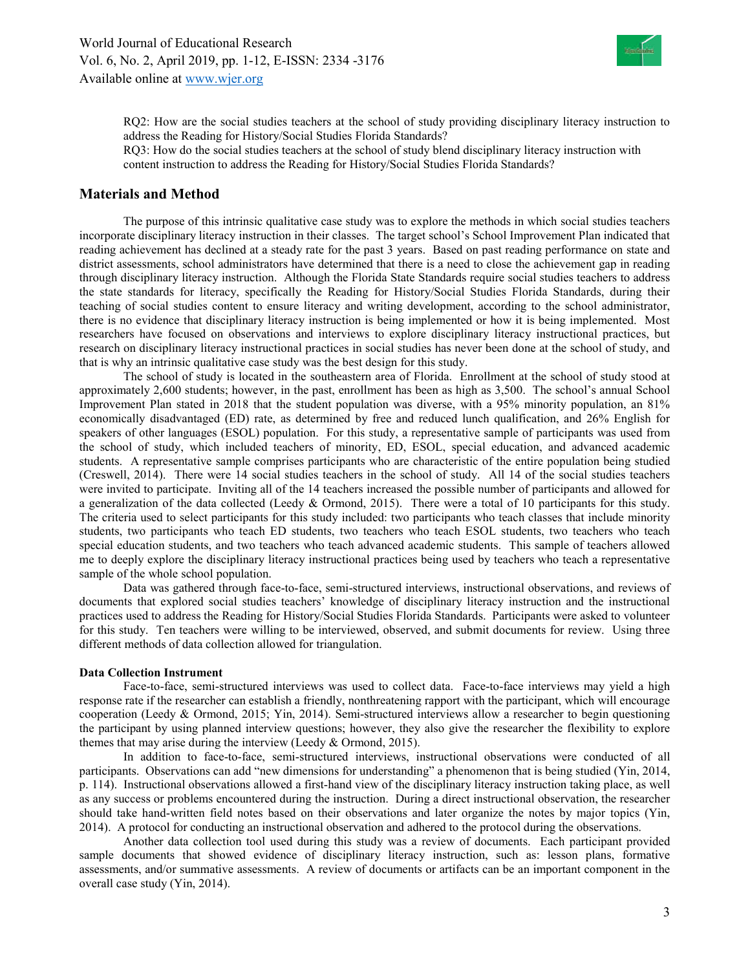

RQ2: How are the social studies teachers at the school of study providing disciplinary literacy instruction to address the Reading for History/Social Studies Florida Standards?

RQ3: How do the social studies teachers at the school of study blend disciplinary literacy instruction with content instruction to address the Reading for History/Social Studies Florida Standards?

# **Materials and Method**

The purpose of this intrinsic qualitative case study was to explore the methods in which social studies teachers incorporate disciplinary literacy instruction in their classes. The target school's School Improvement Plan indicated that reading achievement has declined at a steady rate for the past 3 years. Based on past reading performance on state and district assessments, school administrators have determined that there is a need to close the achievement gap in reading through disciplinary literacy instruction. Although the Florida State Standards require social studies teachers to address the state standards for literacy, specifically the Reading for History/Social Studies Florida Standards, during their teaching of social studies content to ensure literacy and writing development, according to the school administrator, there is no evidence that disciplinary literacy instruction is being implemented or how it is being implemented. Most researchers have focused on observations and interviews to explore disciplinary literacy instructional practices, but research on disciplinary literacy instructional practices in social studies has never been done at the school of study, and that is why an intrinsic qualitative case study was the best design for this study.

The school of study is located in the southeastern area of Florida. Enrollment at the school of study stood at approximately 2,600 students; however, in the past, enrollment has been as high as 3,500. The school's annual School Improvement Plan stated in 2018 that the student population was diverse, with a 95% minority population, an 81% economically disadvantaged (ED) rate, as determined by free and reduced lunch qualification, and 26% English for speakers of other languages (ESOL) population. For this study, a representative sample of participants was used from the school of study, which included teachers of minority, ED, ESOL, special education, and advanced academic students. A representative sample comprises participants who are characteristic of the entire population being studied (Creswell, 2014). There were 14 social studies teachers in the school of study. All 14 of the social studies teachers were invited to participate. Inviting all of the 14 teachers increased the possible number of participants and allowed for a generalization of the data collected (Leedy  $&$  Ormond, 2015). There were a total of 10 participants for this study. The criteria used to select participants for this study included: two participants who teach classes that include minority students, two participants who teach ED students, two teachers who teach ESOL students, two teachers who teach special education students, and two teachers who teach advanced academic students. This sample of teachers allowed me to deeply explore the disciplinary literacy instructional practices being used by teachers who teach a representative sample of the whole school population.

Data was gathered through face-to-face, semi-structured interviews, instructional observations, and reviews of documents that explored social studies teachers' knowledge of disciplinary literacy instruction and the instructional practices used to address the Reading for History/Social Studies Florida Standards. Participants were asked to volunteer for this study. Ten teachers were willing to be interviewed, observed, and submit documents for review. Using three different methods of data collection allowed for triangulation.

### **Data Collection Instrument**

Face-to-face, semi-structured interviews was used to collect data. Face-to-face interviews may yield a high response rate if the researcher can establish a friendly, nonthreatening rapport with the participant, which will encourage cooperation (Leedy & Ormond, 2015; Yin, 2014). Semi-structured interviews allow a researcher to begin questioning the participant by using planned interview questions; however, they also give the researcher the flexibility to explore themes that may arise during the interview (Leedy & Ormond, 2015).

In addition to face-to-face, semi-structured interviews, instructional observations were conducted of all participants. Observations can add "new dimensions for understanding" a phenomenon that is being studied (Yin, 2014, p. 114). Instructional observations allowed a first-hand view of the disciplinary literacy instruction taking place, as well as any success or problems encountered during the instruction. During a direct instructional observation, the researcher should take hand-written field notes based on their observations and later organize the notes by major topics (Yin, 2014). A protocol for conducting an instructional observation and adhered to the protocol during the observations.

Another data collection tool used during this study was a review of documents. Each participant provided sample documents that showed evidence of disciplinary literacy instruction, such as: lesson plans, formative assessments, and/or summative assessments. A review of documents or artifacts can be an important component in the overall case study (Yin, 2014).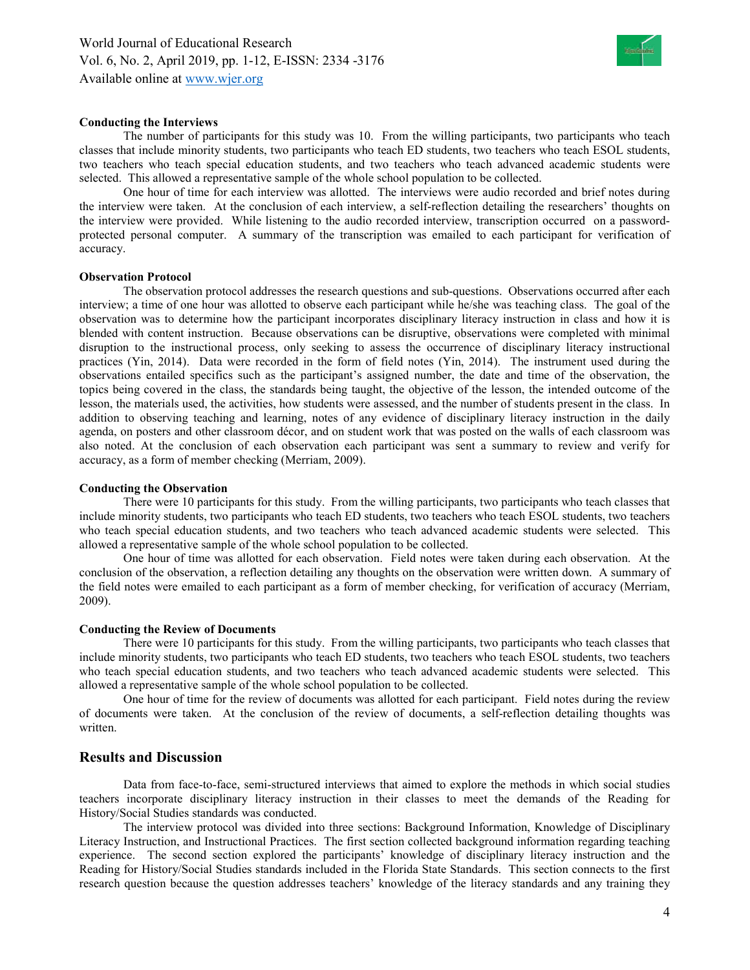

#### **Conducting the Interviews**

The number of participants for this study was 10. From the willing participants, two participants who teach classes that include minority students, two participants who teach ED students, two teachers who teach ESOL students, two teachers who teach special education students, and two teachers who teach advanced academic students were selected. This allowed a representative sample of the whole school population to be collected.

One hour of time for each interview was allotted. The interviews were audio recorded and brief notes during the interview were taken. At the conclusion of each interview, a self-reflection detailing the researchers' thoughts on the interview were provided. While listening to the audio recorded interview, transcription occurred on a passwordprotected personal computer. A summary of the transcription was emailed to each participant for verification of accuracy.

#### **Observation Protocol**

The observation protocol addresses the research questions and sub-questions. Observations occurred after each interview; a time of one hour was allotted to observe each participant while he/she was teaching class. The goal of the observation was to determine how the participant incorporates disciplinary literacy instruction in class and how it is blended with content instruction. Because observations can be disruptive, observations were completed with minimal disruption to the instructional process, only seeking to assess the occurrence of disciplinary literacy instructional practices (Yin, 2014). Data were recorded in the form of field notes (Yin, 2014). The instrument used during the observations entailed specifics such as the participant's assigned number, the date and time of the observation, the topics being covered in the class, the standards being taught, the objective of the lesson, the intended outcome of the lesson, the materials used, the activities, how students were assessed, and the number of students present in the class. In addition to observing teaching and learning, notes of any evidence of disciplinary literacy instruction in the daily agenda, on posters and other classroom décor, and on student work that was posted on the walls of each classroom was also noted. At the conclusion of each observation each participant was sent a summary to review and verify for accuracy, as a form of member checking (Merriam, 2009).

#### **Conducting the Observation**

There were 10 participants for this study. From the willing participants, two participants who teach classes that include minority students, two participants who teach ED students, two teachers who teach ESOL students, two teachers who teach special education students, and two teachers who teach advanced academic students were selected. This allowed a representative sample of the whole school population to be collected.

One hour of time was allotted for each observation. Field notes were taken during each observation. At the conclusion of the observation, a reflection detailing any thoughts on the observation were written down. A summary of the field notes were emailed to each participant as a form of member checking, for verification of accuracy (Merriam, 2009).

### **Conducting the Review of Documents**

There were 10 participants for this study. From the willing participants, two participants who teach classes that include minority students, two participants who teach ED students, two teachers who teach ESOL students, two teachers who teach special education students, and two teachers who teach advanced academic students were selected. This allowed a representative sample of the whole school population to be collected.

One hour of time for the review of documents was allotted for each participant. Field notes during the review of documents were taken. At the conclusion of the review of documents, a self-reflection detailing thoughts was written.

# **Results and Discussion**

Data from face-to-face, semi-structured interviews that aimed to explore the methods in which social studies teachers incorporate disciplinary literacy instruction in their classes to meet the demands of the Reading for History/Social Studies standards was conducted.

The interview protocol was divided into three sections: Background Information, Knowledge of Disciplinary Literacy Instruction, and Instructional Practices. The first section collected background information regarding teaching experience. The second section explored the participants' knowledge of disciplinary literacy instruction and the Reading for History/Social Studies standards included in the Florida State Standards. This section connects to the first research question because the question addresses teachers' knowledge of the literacy standards and any training they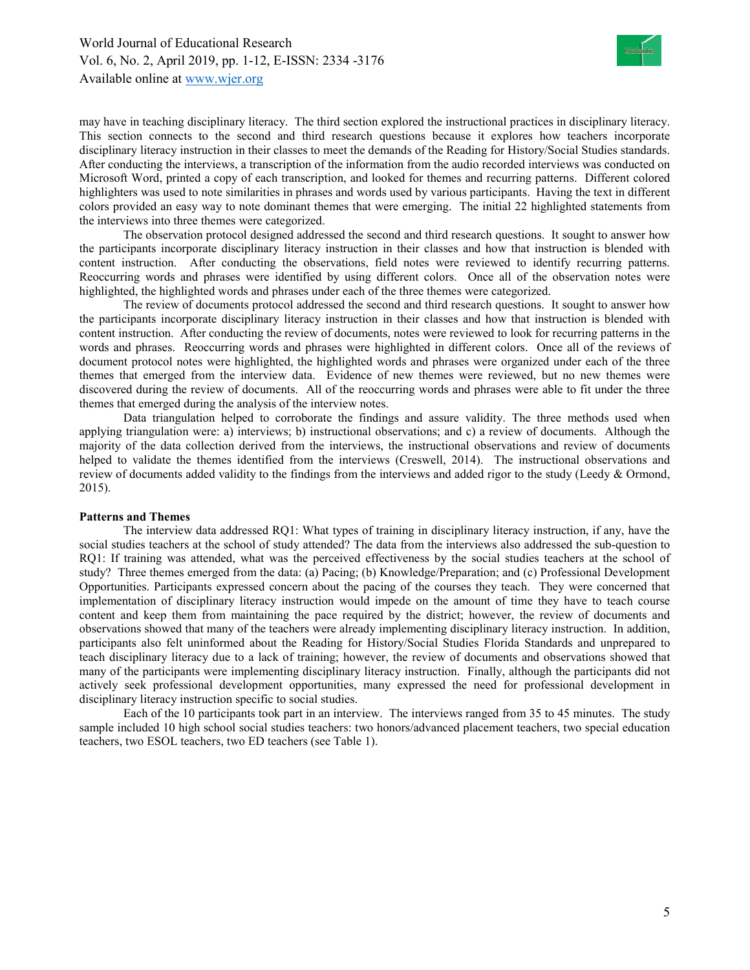

may have in teaching disciplinary literacy. The third section explored the instructional practices in disciplinary literacy. This section connects to the second and third research questions because it explores how teachers incorporate disciplinary literacy instruction in their classes to meet the demands of the Reading for History/Social Studies standards. After conducting the interviews, a transcription of the information from the audio recorded interviews was conducted on Microsoft Word, printed a copy of each transcription, and looked for themes and recurring patterns. Different colored highlighters was used to note similarities in phrases and words used by various participants. Having the text in different colors provided an easy way to note dominant themes that were emerging. The initial 22 highlighted statements from the interviews into three themes were categorized.

The observation protocol designed addressed the second and third research questions. It sought to answer how the participants incorporate disciplinary literacy instruction in their classes and how that instruction is blended with content instruction. After conducting the observations, field notes were reviewed to identify recurring patterns. Reoccurring words and phrases were identified by using different colors. Once all of the observation notes were highlighted, the highlighted words and phrases under each of the three themes were categorized.

The review of documents protocol addressed the second and third research questions. It sought to answer how the participants incorporate disciplinary literacy instruction in their classes and how that instruction is blended with content instruction. After conducting the review of documents, notes were reviewed to look for recurring patterns in the words and phrases. Reoccurring words and phrases were highlighted in different colors. Once all of the reviews of document protocol notes were highlighted, the highlighted words and phrases were organized under each of the three themes that emerged from the interview data. Evidence of new themes were reviewed, but no new themes were discovered during the review of documents. All of the reoccurring words and phrases were able to fit under the three themes that emerged during the analysis of the interview notes.

Data triangulation helped to corroborate the findings and assure validity. The three methods used when applying triangulation were: a) interviews; b) instructional observations; and c) a review of documents. Although the majority of the data collection derived from the interviews, the instructional observations and review of documents helped to validate the themes identified from the interviews (Creswell, 2014). The instructional observations and review of documents added validity to the findings from the interviews and added rigor to the study (Leedy & Ormond, 2015).

### **Patterns and Themes**

The interview data addressed RQ1: What types of training in disciplinary literacy instruction, if any, have the social studies teachers at the school of study attended? The data from the interviews also addressed the sub-question to RQ1: If training was attended, what was the perceived effectiveness by the social studies teachers at the school of study? Three themes emerged from the data: (a) Pacing; (b) Knowledge/Preparation; and (c) Professional Development Opportunities. Participants expressed concern about the pacing of the courses they teach. They were concerned that implementation of disciplinary literacy instruction would impede on the amount of time they have to teach course content and keep them from maintaining the pace required by the district; however, the review of documents and observations showed that many of the teachers were already implementing disciplinary literacy instruction. In addition, participants also felt uninformed about the Reading for History/Social Studies Florida Standards and unprepared to teach disciplinary literacy due to a lack of training; however, the review of documents and observations showed that many of the participants were implementing disciplinary literacy instruction. Finally, although the participants did not actively seek professional development opportunities, many expressed the need for professional development in disciplinary literacy instruction specific to social studies.

Each of the 10 participants took part in an interview. The interviews ranged from 35 to 45 minutes. The study sample included 10 high school social studies teachers: two honors/advanced placement teachers, two special education teachers, two ESOL teachers, two ED teachers (see Table 1).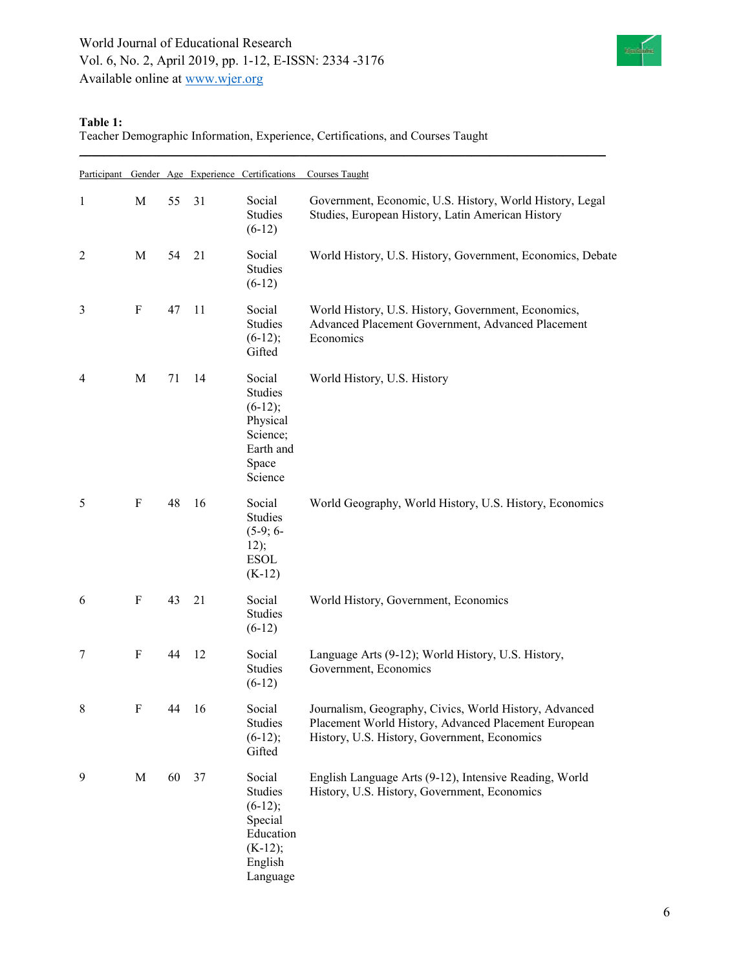World Journal of Educational Research Vol. 6, No. 2, April 2019, pp. 1-12, E-ISSN: 2334 -3176 Available online at www.wjer.org



# **Table 1:**

Teacher Demographic Information, Experience, Certifications, and Courses Taught

 $\_$  . The contribution of the contribution of the contribution of the contribution of  $\mathcal{L}_1$ 

|                |                           |    |       |                                                                                            | Participant Gender Age Experience Certifications Courses Taught                                                                                                |
|----------------|---------------------------|----|-------|--------------------------------------------------------------------------------------------|----------------------------------------------------------------------------------------------------------------------------------------------------------------|
| $\mathbf{1}$   | M                         | 55 | 31    | Social<br><b>Studies</b><br>$(6-12)$                                                       | Government, Economic, U.S. History, World History, Legal<br>Studies, European History, Latin American History                                                  |
| $\overline{2}$ | M                         | 54 | 21    | Social<br>Studies<br>$(6-12)$                                                              | World History, U.S. History, Government, Economics, Debate                                                                                                     |
| 3              | $\boldsymbol{\mathrm{F}}$ | 47 | 11    | Social<br><b>Studies</b><br>$(6-12);$<br>Gifted                                            | World History, U.S. History, Government, Economics,<br>Advanced Placement Government, Advanced Placement<br>Economics                                          |
| 4              | М                         | 71 | 14    | Social<br>Studies<br>$(6-12);$<br>Physical<br>Science;<br>Earth and<br>Space<br>Science    | World History, U.S. History                                                                                                                                    |
| 5              | F                         | 48 | 16    | Social<br>Studies<br>$(5-9; 6-$<br>12);<br><b>ESOL</b><br>$(K-12)$                         | World Geography, World History, U.S. History, Economics                                                                                                        |
| 6              | F                         | 43 | 21    | Social<br>Studies<br>$(6-12)$                                                              | World History, Government, Economics                                                                                                                           |
| 7              | F                         | 44 | 12    | Social<br>Studies<br>$(6-12)$                                                              | Language Arts (9-12); World History, U.S. History,<br>Government, Economics                                                                                    |
| 8              | F                         |    | 44 16 | Social<br>Studies<br>$(6-12);$<br>Gifted                                                   | Journalism, Geography, Civics, World History, Advanced<br>Placement World History, Advanced Placement European<br>History, U.S. History, Government, Economics |
| 9              | M                         | 60 | 37    | Social<br>Studies<br>$(6-12);$<br>Special<br>Education<br>$(K-12);$<br>English<br>Language | English Language Arts (9-12), Intensive Reading, World<br>History, U.S. History, Government, Economics                                                         |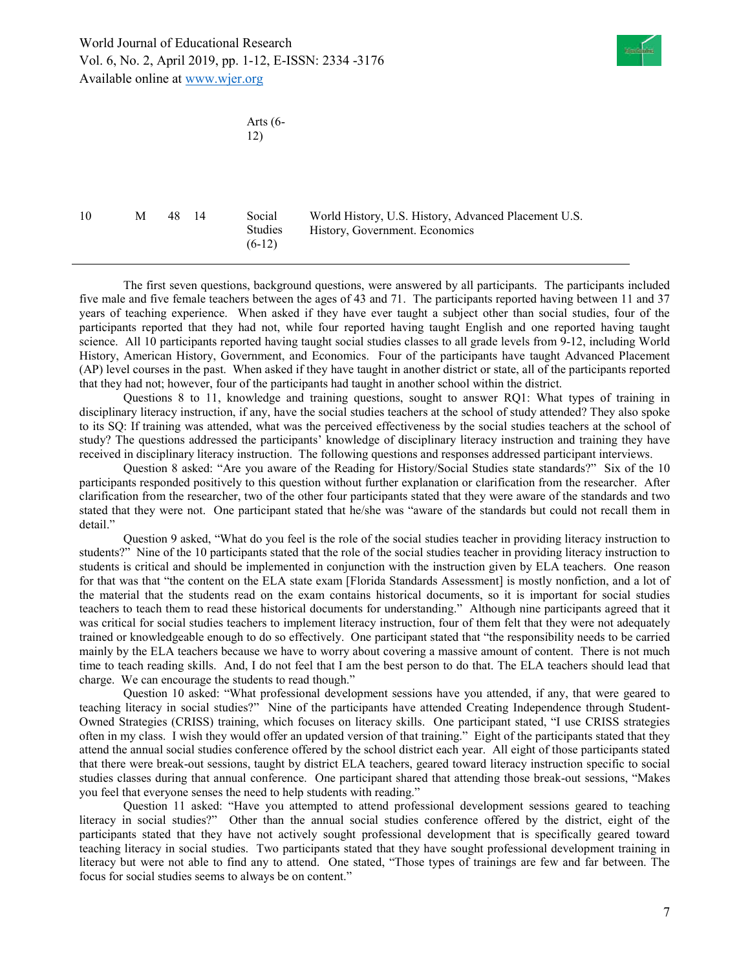

Arts (6- 12)

10 M 48 14 Social Studies (6-12) World History, U.S. History, Advanced Placement U.S. History, Government. Economics

The first seven questions, background questions, were answered by all participants. The participants included five male and five female teachers between the ages of 43 and 71. The participants reported having between 11 and 37 years of teaching experience. When asked if they have ever taught a subject other than social studies, four of the participants reported that they had not, while four reported having taught English and one reported having taught science. All 10 participants reported having taught social studies classes to all grade levels from 9-12, including World History, American History, Government, and Economics. Four of the participants have taught Advanced Placement (AP) level courses in the past. When asked if they have taught in another district or state, all of the participants reported that they had not; however, four of the participants had taught in another school within the district.

Questions 8 to 11, knowledge and training questions, sought to answer RQ1: What types of training in disciplinary literacy instruction, if any, have the social studies teachers at the school of study attended? They also spoke to its SQ: If training was attended, what was the perceived effectiveness by the social studies teachers at the school of study? The questions addressed the participants' knowledge of disciplinary literacy instruction and training they have received in disciplinary literacy instruction. The following questions and responses addressed participant interviews.

Question 8 asked: "Are you aware of the Reading for History/Social Studies state standards?" Six of the 10 participants responded positively to this question without further explanation or clarification from the researcher. After clarification from the researcher, two of the other four participants stated that they were aware of the standards and two stated that they were not. One participant stated that he/she was "aware of the standards but could not recall them in detail."

Question 9 asked, "What do you feel is the role of the social studies teacher in providing literacy instruction to students?" Nine of the 10 participants stated that the role of the social studies teacher in providing literacy instruction to students is critical and should be implemented in conjunction with the instruction given by ELA teachers. One reason for that was that "the content on the ELA state exam [Florida Standards Assessment] is mostly nonfiction, and a lot of the material that the students read on the exam contains historical documents, so it is important for social studies teachers to teach them to read these historical documents for understanding." Although nine participants agreed that it was critical for social studies teachers to implement literacy instruction, four of them felt that they were not adequately trained or knowledgeable enough to do so effectively. One participant stated that "the responsibility needs to be carried mainly by the ELA teachers because we have to worry about covering a massive amount of content. There is not much time to teach reading skills. And, I do not feel that I am the best person to do that. The ELA teachers should lead that charge. We can encourage the students to read though."

Question 10 asked: "What professional development sessions have you attended, if any, that were geared to teaching literacy in social studies?" Nine of the participants have attended Creating Independence through Student-Owned Strategies (CRISS) training, which focuses on literacy skills. One participant stated, "I use CRISS strategies often in my class. I wish they would offer an updated version of that training." Eight of the participants stated that they attend the annual social studies conference offered by the school district each year. All eight of those participants stated that there were break-out sessions, taught by district ELA teachers, geared toward literacy instruction specific to social studies classes during that annual conference. One participant shared that attending those break-out sessions, "Makes you feel that everyone senses the need to help students with reading."

Question 11 asked: "Have you attempted to attend professional development sessions geared to teaching literacy in social studies?" Other than the annual social studies conference offered by the district, eight of the participants stated that they have not actively sought professional development that is specifically geared toward teaching literacy in social studies. Two participants stated that they have sought professional development training in literacy but were not able to find any to attend. One stated, "Those types of trainings are few and far between. The focus for social studies seems to always be on content."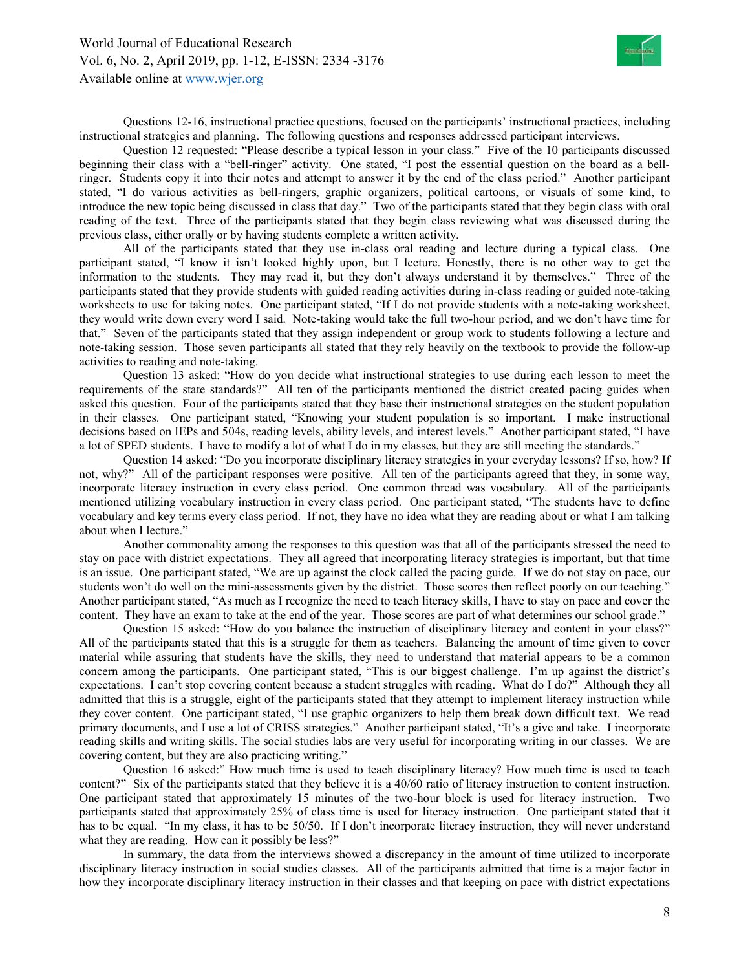

Questions 12-16, instructional practice questions, focused on the participants' instructional practices, including instructional strategies and planning. The following questions and responses addressed participant interviews.

Question 12 requested: "Please describe a typical lesson in your class." Five of the 10 participants discussed beginning their class with a "bell-ringer" activity. One stated, "I post the essential question on the board as a bellringer. Students copy it into their notes and attempt to answer it by the end of the class period." Another participant stated, "I do various activities as bell-ringers, graphic organizers, political cartoons, or visuals of some kind, to introduce the new topic being discussed in class that day." Two of the participants stated that they begin class with oral reading of the text. Three of the participants stated that they begin class reviewing what was discussed during the previous class, either orally or by having students complete a written activity.

All of the participants stated that they use in-class oral reading and lecture during a typical class. One participant stated, "I know it isn't looked highly upon, but I lecture. Honestly, there is no other way to get the information to the students. They may read it, but they don't always understand it by themselves." Three of the participants stated that they provide students with guided reading activities during in-class reading or guided note-taking worksheets to use for taking notes. One participant stated, "If I do not provide students with a note-taking worksheet, they would write down every word I said. Note-taking would take the full two-hour period, and we don't have time for that." Seven of the participants stated that they assign independent or group work to students following a lecture and note-taking session. Those seven participants all stated that they rely heavily on the textbook to provide the follow-up activities to reading and note-taking.

Question 13 asked: "How do you decide what instructional strategies to use during each lesson to meet the requirements of the state standards?" All ten of the participants mentioned the district created pacing guides when asked this question. Four of the participants stated that they base their instructional strategies on the student population in their classes. One participant stated, "Knowing your student population is so important. I make instructional decisions based on IEPs and 504s, reading levels, ability levels, and interest levels." Another participant stated, "I have a lot of SPED students. I have to modify a lot of what I do in my classes, but they are still meeting the standards."

Question 14 asked: "Do you incorporate disciplinary literacy strategies in your everyday lessons? If so, how? If not, why?" All of the participant responses were positive. All ten of the participants agreed that they, in some way, incorporate literacy instruction in every class period. One common thread was vocabulary. All of the participants mentioned utilizing vocabulary instruction in every class period. One participant stated, "The students have to define vocabulary and key terms every class period. If not, they have no idea what they are reading about or what I am talking about when I lecture."

Another commonality among the responses to this question was that all of the participants stressed the need to stay on pace with district expectations. They all agreed that incorporating literacy strategies is important, but that time is an issue. One participant stated, "We are up against the clock called the pacing guide. If we do not stay on pace, our students won't do well on the mini-assessments given by the district. Those scores then reflect poorly on our teaching." Another participant stated, "As much as I recognize the need to teach literacy skills, I have to stay on pace and cover the content. They have an exam to take at the end of the year. Those scores are part of what determines our school grade."

Question 15 asked: "How do you balance the instruction of disciplinary literacy and content in your class?" All of the participants stated that this is a struggle for them as teachers. Balancing the amount of time given to cover material while assuring that students have the skills, they need to understand that material appears to be a common concern among the participants. One participant stated, "This is our biggest challenge. I'm up against the district's expectations. I can't stop covering content because a student struggles with reading. What do I do?" Although they all admitted that this is a struggle, eight of the participants stated that they attempt to implement literacy instruction while they cover content. One participant stated, "I use graphic organizers to help them break down difficult text. We read primary documents, and I use a lot of CRISS strategies." Another participant stated, "It's a give and take. I incorporate reading skills and writing skills. The social studies labs are very useful for incorporating writing in our classes. We are covering content, but they are also practicing writing."

Question 16 asked:" How much time is used to teach disciplinary literacy? How much time is used to teach content?" Six of the participants stated that they believe it is a 40/60 ratio of literacy instruction to content instruction. One participant stated that approximately 15 minutes of the two-hour block is used for literacy instruction. Two participants stated that approximately 25% of class time is used for literacy instruction. One participant stated that it has to be equal. "In my class, it has to be 50/50. If I don't incorporate literacy instruction, they will never understand what they are reading. How can it possibly be less?"

In summary, the data from the interviews showed a discrepancy in the amount of time utilized to incorporate disciplinary literacy instruction in social studies classes. All of the participants admitted that time is a major factor in how they incorporate disciplinary literacy instruction in their classes and that keeping on pace with district expectations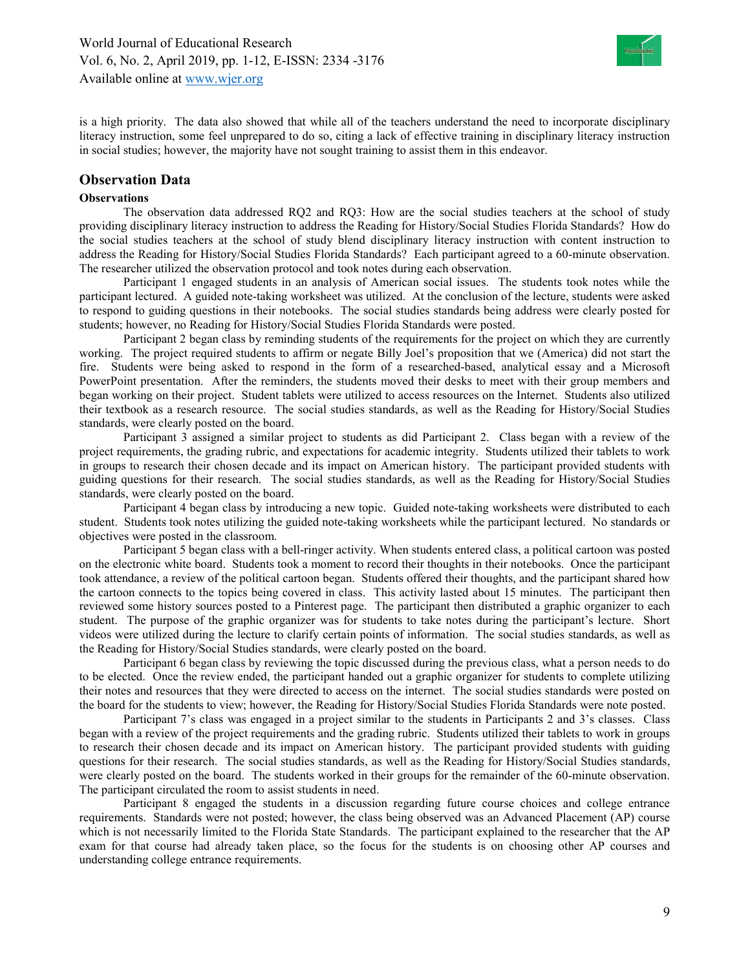

is a high priority. The data also showed that while all of the teachers understand the need to incorporate disciplinary literacy instruction, some feel unprepared to do so, citing a lack of effective training in disciplinary literacy instruction in social studies; however, the majority have not sought training to assist them in this endeavor.

# **Observation Data**

# **Observations**

The observation data addressed RQ2 and RQ3: How are the social studies teachers at the school of study providing disciplinary literacy instruction to address the Reading for History/Social Studies Florida Standards? How do the social studies teachers at the school of study blend disciplinary literacy instruction with content instruction to address the Reading for History/Social Studies Florida Standards? Each participant agreed to a 60-minute observation. The researcher utilized the observation protocol and took notes during each observation.

Participant 1 engaged students in an analysis of American social issues. The students took notes while the participant lectured. A guided note-taking worksheet was utilized. At the conclusion of the lecture, students were asked to respond to guiding questions in their notebooks. The social studies standards being address were clearly posted for students; however, no Reading for History/Social Studies Florida Standards were posted.

Participant 2 began class by reminding students of the requirements for the project on which they are currently working. The project required students to affirm or negate Billy Joel's proposition that we (America) did not start the fire. Students were being asked to respond in the form of a researched-based, analytical essay and a Microsoft PowerPoint presentation. After the reminders, the students moved their desks to meet with their group members and began working on their project. Student tablets were utilized to access resources on the Internet. Students also utilized their textbook as a research resource. The social studies standards, as well as the Reading for History/Social Studies standards, were clearly posted on the board.

Participant 3 assigned a similar project to students as did Participant 2. Class began with a review of the project requirements, the grading rubric, and expectations for academic integrity. Students utilized their tablets to work in groups to research their chosen decade and its impact on American history. The participant provided students with guiding questions for their research. The social studies standards, as well as the Reading for History/Social Studies standards, were clearly posted on the board.

Participant 4 began class by introducing a new topic. Guided note-taking worksheets were distributed to each student. Students took notes utilizing the guided note-taking worksheets while the participant lectured. No standards or objectives were posted in the classroom.

Participant 5 began class with a bell-ringer activity. When students entered class, a political cartoon was posted on the electronic white board. Students took a moment to record their thoughts in their notebooks. Once the participant took attendance, a review of the political cartoon began. Students offered their thoughts, and the participant shared how the cartoon connects to the topics being covered in class. This activity lasted about 15 minutes. The participant then reviewed some history sources posted to a Pinterest page. The participant then distributed a graphic organizer to each student. The purpose of the graphic organizer was for students to take notes during the participant's lecture. Short videos were utilized during the lecture to clarify certain points of information. The social studies standards, as well as the Reading for History/Social Studies standards, were clearly posted on the board.

Participant 6 began class by reviewing the topic discussed during the previous class, what a person needs to do to be elected. Once the review ended, the participant handed out a graphic organizer for students to complete utilizing their notes and resources that they were directed to access on the internet. The social studies standards were posted on the board for the students to view; however, the Reading for History/Social Studies Florida Standards were note posted.

Participant 7's class was engaged in a project similar to the students in Participants 2 and 3's classes. Class began with a review of the project requirements and the grading rubric. Students utilized their tablets to work in groups to research their chosen decade and its impact on American history. The participant provided students with guiding questions for their research. The social studies standards, as well as the Reading for History/Social Studies standards, were clearly posted on the board. The students worked in their groups for the remainder of the 60-minute observation. The participant circulated the room to assist students in need.

Participant 8 engaged the students in a discussion regarding future course choices and college entrance requirements. Standards were not posted; however, the class being observed was an Advanced Placement (AP) course which is not necessarily limited to the Florida State Standards. The participant explained to the researcher that the AP exam for that course had already taken place, so the focus for the students is on choosing other AP courses and understanding college entrance requirements.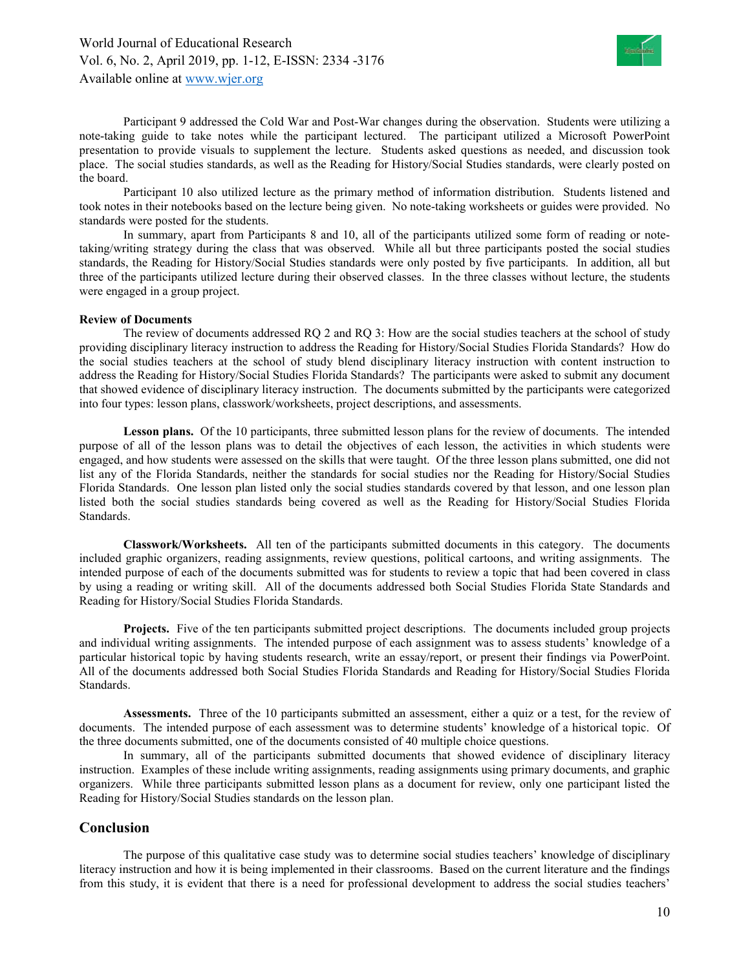

Participant 9 addressed the Cold War and Post-War changes during the observation. Students were utilizing a note-taking guide to take notes while the participant lectured. The participant utilized a Microsoft PowerPoint presentation to provide visuals to supplement the lecture. Students asked questions as needed, and discussion took place. The social studies standards, as well as the Reading for History/Social Studies standards, were clearly posted on the board.

Participant 10 also utilized lecture as the primary method of information distribution. Students listened and took notes in their notebooks based on the lecture being given. No note-taking worksheets or guides were provided. No standards were posted for the students.

In summary, apart from Participants 8 and 10, all of the participants utilized some form of reading or notetaking/writing strategy during the class that was observed. While all but three participants posted the social studies standards, the Reading for History/Social Studies standards were only posted by five participants. In addition, all but three of the participants utilized lecture during their observed classes. In the three classes without lecture, the students were engaged in a group project.

### **Review of Documents**

The review of documents addressed RQ 2 and RQ 3: How are the social studies teachers at the school of study providing disciplinary literacy instruction to address the Reading for History/Social Studies Florida Standards? How do the social studies teachers at the school of study blend disciplinary literacy instruction with content instruction to address the Reading for History/Social Studies Florida Standards? The participants were asked to submit any document that showed evidence of disciplinary literacy instruction. The documents submitted by the participants were categorized into four types: lesson plans, classwork/worksheets, project descriptions, and assessments.

**Lesson plans.** Of the 10 participants, three submitted lesson plans for the review of documents. The intended purpose of all of the lesson plans was to detail the objectives of each lesson, the activities in which students were engaged, and how students were assessed on the skills that were taught. Of the three lesson plans submitted, one did not list any of the Florida Standards, neither the standards for social studies nor the Reading for History/Social Studies Florida Standards. One lesson plan listed only the social studies standards covered by that lesson, and one lesson plan listed both the social studies standards being covered as well as the Reading for History/Social Studies Florida Standards.

**Classwork/Worksheets.** All ten of the participants submitted documents in this category. The documents included graphic organizers, reading assignments, review questions, political cartoons, and writing assignments. The intended purpose of each of the documents submitted was for students to review a topic that had been covered in class by using a reading or writing skill. All of the documents addressed both Social Studies Florida State Standards and Reading for History/Social Studies Florida Standards.

**Projects.** Five of the ten participants submitted project descriptions. The documents included group projects and individual writing assignments. The intended purpose of each assignment was to assess students' knowledge of a particular historical topic by having students research, write an essay/report, or present their findings via PowerPoint. All of the documents addressed both Social Studies Florida Standards and Reading for History/Social Studies Florida Standards.

**Assessments.** Three of the 10 participants submitted an assessment, either a quiz or a test, for the review of documents. The intended purpose of each assessment was to determine students' knowledge of a historical topic. Of the three documents submitted, one of the documents consisted of 40 multiple choice questions.

In summary, all of the participants submitted documents that showed evidence of disciplinary literacy instruction. Examples of these include writing assignments, reading assignments using primary documents, and graphic organizers. While three participants submitted lesson plans as a document for review, only one participant listed the Reading for History/Social Studies standards on the lesson plan.

# **Conclusion**

The purpose of this qualitative case study was to determine social studies teachers' knowledge of disciplinary literacy instruction and how it is being implemented in their classrooms. Based on the current literature and the findings from this study, it is evident that there is a need for professional development to address the social studies teachers'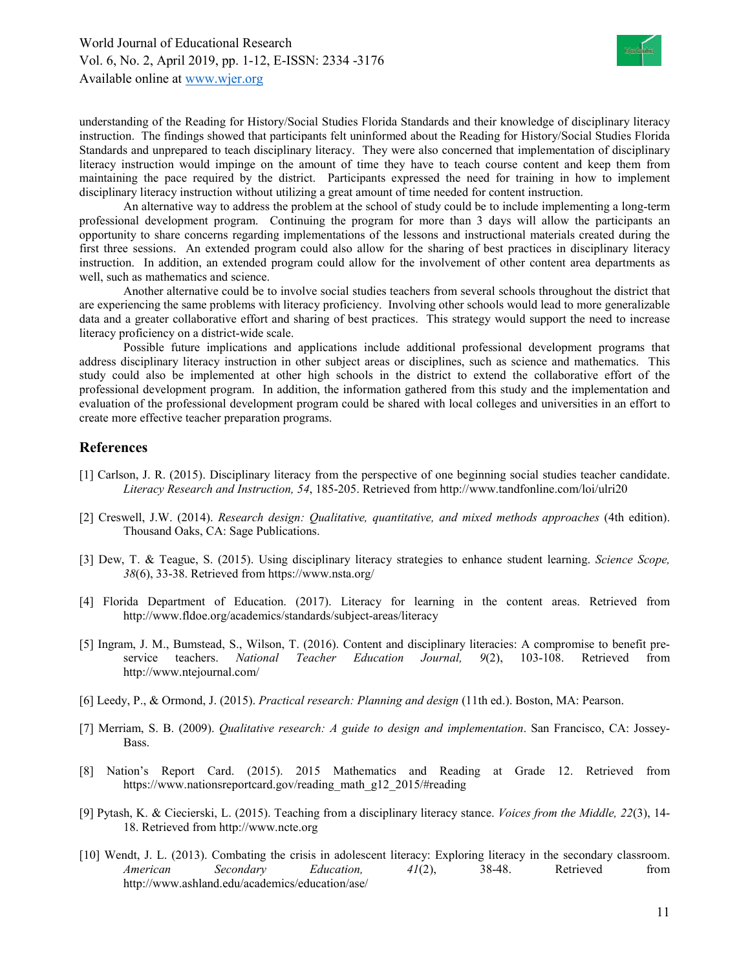

understanding of the Reading for History/Social Studies Florida Standards and their knowledge of disciplinary literacy instruction. The findings showed that participants felt uninformed about the Reading for History/Social Studies Florida Standards and unprepared to teach disciplinary literacy. They were also concerned that implementation of disciplinary literacy instruction would impinge on the amount of time they have to teach course content and keep them from maintaining the pace required by the district. Participants expressed the need for training in how to implement disciplinary literacy instruction without utilizing a great amount of time needed for content instruction.

An alternative way to address the problem at the school of study could be to include implementing a long-term professional development program. Continuing the program for more than 3 days will allow the participants an opportunity to share concerns regarding implementations of the lessons and instructional materials created during the first three sessions. An extended program could also allow for the sharing of best practices in disciplinary literacy instruction. In addition, an extended program could allow for the involvement of other content area departments as well, such as mathematics and science.

Another alternative could be to involve social studies teachers from several schools throughout the district that are experiencing the same problems with literacy proficiency. Involving other schools would lead to more generalizable data and a greater collaborative effort and sharing of best practices. This strategy would support the need to increase literacy proficiency on a district-wide scale.

Possible future implications and applications include additional professional development programs that address disciplinary literacy instruction in other subject areas or disciplines, such as science and mathematics. This study could also be implemented at other high schools in the district to extend the collaborative effort of the professional development program. In addition, the information gathered from this study and the implementation and evaluation of the professional development program could be shared with local colleges and universities in an effort to create more effective teacher preparation programs.

# **References**

- [1] Carlson, J. R. (2015). Disciplinary literacy from the perspective of one beginning social studies teacher candidate. *Literacy Research and Instruction, 54*, 185-205. Retrieved from <http://www.tandfonline.com/loi/ulri20>
- [2] Creswell, J.W. (2014). *Research design: Qualitative, quantitative, and mixed methods approaches* (4th edition). Thousand Oaks, CA: Sage Publications.
- [3] Dew, T. & Teague, S. (2015). Using disciplinary literacy strategies to enhance student learning. *Science Scope, 38*(6), 33-38. Retrieved from <https://www.nsta.org/>
- [4] Florida Department of Education. (2017). Literacy for learning in the content areas. Retrieved from <http://www.fldoe.org/academics/standards/subject-areas/literacy>
- [5] Ingram, J. M., Bumstead, S., Wilson, T. (2016). Content and disciplinary literacies: A compromise to benefit preservice teachers. *National Teacher Education Journal, 9*(2), 103-108. Retrieved from <http://www.ntejournal.com/>
- [6] Leedy, P., & Ormond, J. (2015). *Practical research: Planning and design* (11th ed.). Boston, MA: Pearson.
- [7] Merriam, S. B. (2009). *Qualitative research: A guide to design and implementation*. San Francisco, CA: Jossey-Bass.
- [8] Nation's Report Card. (2015). 2015 Mathematics and Reading at Grade 12. Retrieved from [https://www.nationsreportcard.gov/reading\\_math\\_g12\\_2015/#reading](https://www.nationsreportcard.gov/reading_math_g12_2015/)
- [9] Pytash, K. & Ciecierski, L. (2015). Teaching from a disciplinary literacy stance. *Voices from the Middle, 22*(3), 14- 18. Retrieved from [http://www.ncte.org](http://www.ncte.org/)
- [10] Wendt, J. L. (2013). Combating the crisis in adolescent literacy: Exploring literacy in the secondary classroom. *American Secondary Education, 41*(2), 38-48. Retrieved from <http://www.ashland.edu/academics/education/ase/>